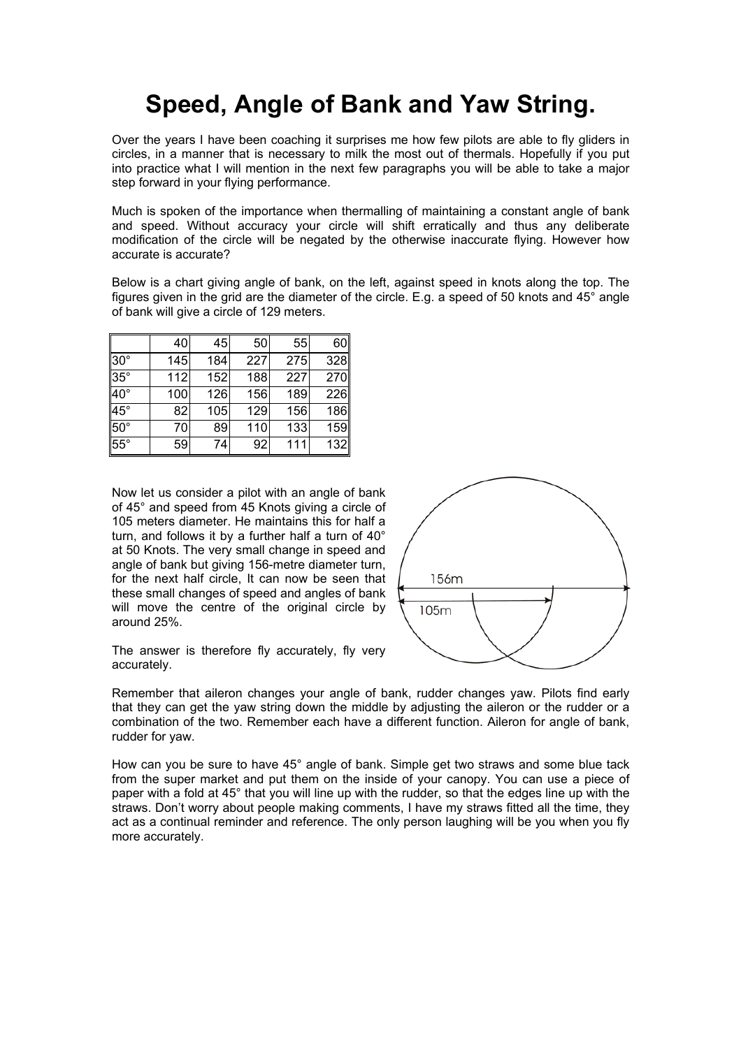## **Speed, Angle of Bank and Yaw String.**

Over the years I have been coaching it surprises me how few pilots are able to fly gliders in circles, in a manner that is necessary to milk the most out of thermals. Hopefully if you put into practice what I will mention in the next few paragraphs you will be able to take a major step forward in your flying performance.

Much is spoken of the importance when thermalling of maintaining a constant angle of bank and speed. Without accuracy your circle will shift erratically and thus any deliberate modification of the circle will be negated by the otherwise inaccurate flying. However how accurate is accurate?

Below is a chart giving angle of bank, on the left, against speed in knots along the top. The figures given in the grid are the diameter of the circle. E.g. a speed of 50 knots and 45° angle of bank will give a circle of 129 meters.

|            | 40  | 45  | 50  | 55  | 60  |
|------------|-----|-----|-----|-----|-----|
| $30^\circ$ | 145 | 184 | 227 | 275 | 328 |
| $35^\circ$ | 112 | 152 | 188 | 227 | 270 |
| $40^\circ$ | 100 | 126 | 156 | 189 | 226 |
| $45^\circ$ | 82  | 105 | 129 | 156 | 186 |
| $50^\circ$ | 70  | 89  | 110 | 133 | 159 |
| $55^\circ$ | 59  | 74  | 92  | 111 | 132 |

Now let us consider a pilot with an angle of bank of 45° and speed from 45 Knots giving a circle of 105 meters diameter. He maintains this for half a turn, and follows it by a further half a turn of 40° at 50 Knots. The very small change in speed and angle of bank but giving 156-metre diameter turn, for the next half circle, It can now be seen that these small changes of speed and angles of bank will move the centre of the original circle by around 25%.

The answer is therefore fly accurately, fly very accurately.



Remember that aileron changes your angle of bank, rudder changes yaw. Pilots find early that they can get the yaw string down the middle by adjusting the aileron or the rudder or a combination of the two. Remember each have a different function. Aileron for angle of bank, rudder for yaw.

How can you be sure to have 45° angle of bank. Simple get two straws and some blue tack from the super market and put them on the inside of your canopy. You can use a piece of paper with a fold at 45° that you will line up with the rudder, so that the edges line up with the straws. Don't worry about people making comments, I have my straws fitted all the time, they act as a continual reminder and reference. The only person laughing will be you when you fly more accurately.